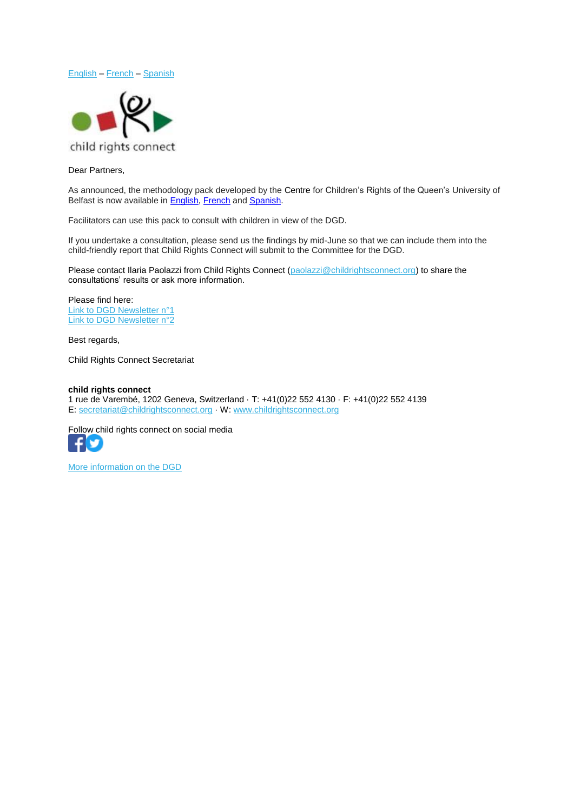



## <span id="page-0-0"></span>Dear Partners,

As announced, the methodology pack developed by the Centre for Children's Rights of the Queen's University of Belfast is now available in **English, [French](http://www.childrightsconnect.org/wp-content/uploads/2018/04/DGD_Consultation_Methodology_FR.pdf)** and **Spanish**.

Facilitators can use this pack to consult with children in view of the DGD.

If you undertake a consultation, please send us the findings by mid-June so that we can include them into the child-friendly report that Child Rights Connect will submit to the Committee for the DGD.

Please contact Ilaria Paolazzi from Child Rights Connect [\(paolazzi@childrightsconnect.org\)](mailto:paolazzi@childrightsconnect.org) to share the consultations' results or ask more information.

Please find here: [Link to DGD Newsletter n°1](http://www.childrightsconnect.org/wp-content/uploads/2018/04/ChildRightsConnect_DGD_Newsletter_1.pdf) [Link to DGD Newsletter n°2](http://www.childrightsconnect.org/wp-content/uploads/2018/04/DGD_Newsletter2_Final.pdf)

Best regards,

Child Rights Connect Secretariat

## **child rights connect**

1 rue de Varembé, 1202 Geneva, Switzerland · T: +41(0)22 552 4130 · F: +41(0)22 552 4139 E: [secretariat@childrightsconnect.org](mailto:secretariat@childrightsconnect.org) · W: [www.childrightsconnect.org](http://www.childrightsconnect.org/)

Follow child rights connect on social media v

[More information on the DGD](http://www.childrightsconnect.org/connect-with-the-un-2/committee-on-the-rights-of-the-child/days-of-general-discussion/)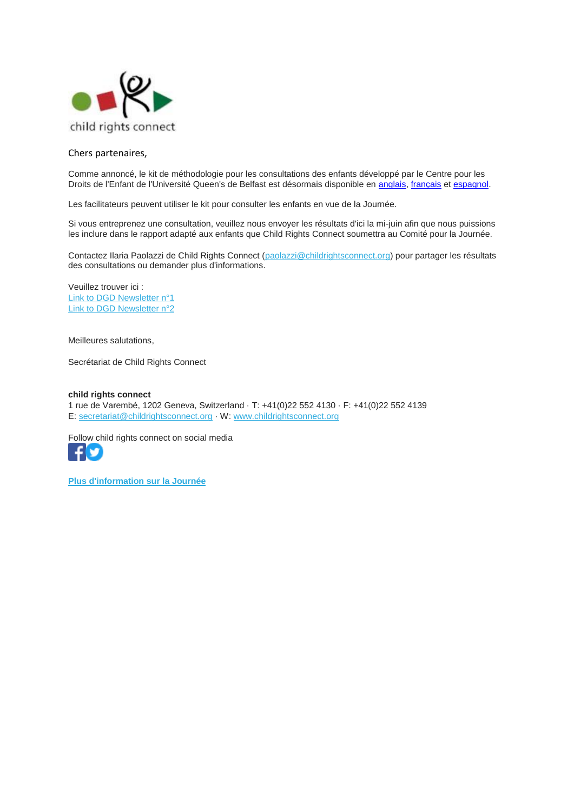

## <span id="page-1-0"></span>Chers partenaires,

Comme annoncé, le kit de méthodologie pour les consultations des enfants développé par le Centre pour les Droits de l'Enfant de l'Université Queen's de Belfast est désormais disponible en [anglais,](http://www.childrightsconnect.org/wp-content/uploads/2018/04/DGD_Consultation_Methodology.pdf) [français](http://www.childrightsconnect.org/wp-content/uploads/2018/04/DGD_Consultation_Methodology_FR.pdf) et [espagnol.](http://www.childrightsconnect.org/wp-content/uploads/2018/04/DGD_Consultation_Methodology_SP.pdf)

Les facilitateurs peuvent utiliser le kit pour consulter les enfants en vue de la Journée.

Si vous entreprenez une consultation, veuillez nous envoyer les résultats d'ici la mi-juin afin que nous puissions les inclure dans le rapport adapté aux enfants que Child Rights Connect soumettra au Comité pour la Journée.

Contactez Ilaria Paolazzi de Child Rights Connect [\(paolazzi@childrightsconnect.org\)](mailto:paolazzi@childrightsconnect.org) pour partager les résultats des consultations ou demander plus d'informations.

Veuillez trouver ici : [Link to DGD Newsletter](http://www.childrightsconnect.org/wp-content/uploads/2018/04/ChildRightsConnect_DGD_Newsletter_1.pdf) n°1 [Link to DGD Newsletter n°2](http://www.childrightsconnect.org/wp-content/uploads/2018/04/DGD_Newsletter2_Final.pdf)

Meilleures salutations,

Secrétariat de Child Rights Connect

**child rights connect** 1 rue de Varembé, 1202 Geneva, Switzerland · T: +41(0)22 552 4130 · F: +41(0)22 552 4139 E: [secretariat@childrightsconnect.org](mailto:secretariat@childrightsconnect.org) · W: [www.childrightsconnect.org](http://www.childrightsconnect.org/)

Follow child rights connect on social media



**[Plus d'information sur la Journée](http://www.childrightsconnect.org/connect-with-the-un-2/committee-on-the-rights-of-the-child/days-of-general-discussion/)**